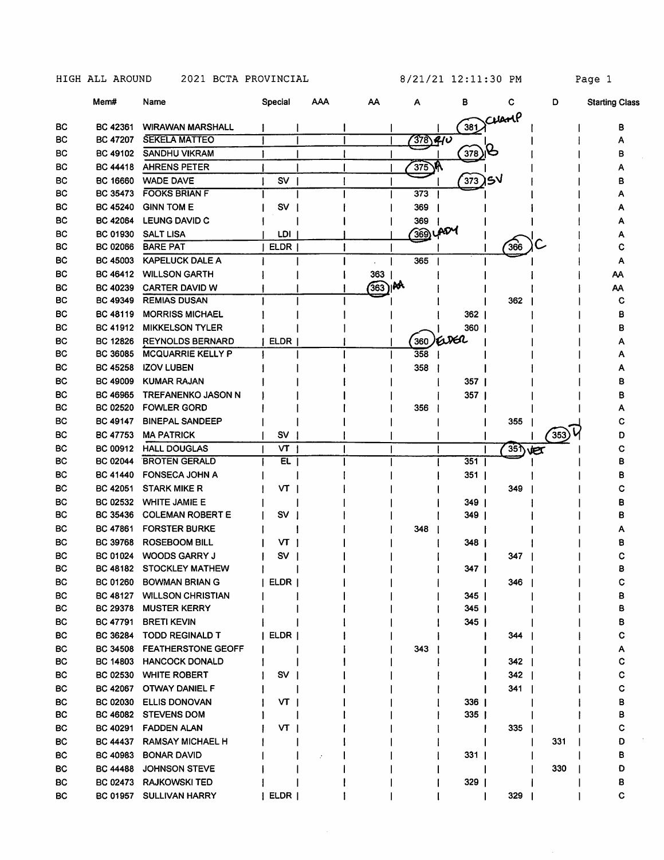|           | Mem#                        | Name                      | Special     | AAA | АΑ       | Α          | в          | С                | D   | <b>Starting Class</b> |
|-----------|-----------------------------|---------------------------|-------------|-----|----------|------------|------------|------------------|-----|-----------------------|
| BC        | BC 42361                    | <b>WIRAWAN MARSHALL</b>   |             |     |          |            | 381        | Cuanp            |     | в                     |
| ВC        | BC 47207                    | <b>SEKELA MATTEO</b>      |             |     |          | 378)410    |            |                  |     |                       |
| BС        | BC 49102                    | <b>SANDHU VIKRAM</b>      |             |     |          |            | 378        |                  |     |                       |
| ВC        | <b>BC 44418</b>             | <b>AHRENS PETER</b>       |             |     |          | 375        |            |                  |     |                       |
| BС        | BC 16660                    | <b>WADE DAVE</b>          | <b>SV</b>   |     |          |            | 373        | SV               |     | в                     |
| ВC        | <b>BC 35473</b>             | <b>FOOKS BRIAN F</b>      |             |     |          | 373        |            |                  |     |                       |
| BС        | <b>BC 45240</b>             | <b>GINN TOM E</b>         | SV          |     |          | 369        |            |                  |     |                       |
| BС        | <b>BC 42064</b>             | LEUNG DAVID C             |             |     |          | 369        |            |                  |     |                       |
| вс        | <b>BC 01930</b>             | <b>SALT LISA</b>          | LDI         |     |          | 369) LADY  |            |                  |     |                       |
| ВC        | BC 02066                    | <b>BARE PAT</b>           | <b>ELDR</b> |     |          |            |            | 366              |     |                       |
| ВC        | <b>BC 45003</b>             | <b>KAPELUCK DALE A</b>    |             |     |          | 365        |            |                  |     | А                     |
| вc        | <b>BC 46412</b>             | <b>WILLSON GARTH</b>      |             |     | 363      |            |            |                  |     | АА                    |
| BС        | <b>BC 40239</b>             | <b>CARTER DAVID W</b>     |             |     | $363)$ M |            |            |                  |     | АА                    |
| BC        | BC 49349                    | <b>REMIAS DUSAN</b>       |             |     |          |            |            | 362              |     | с                     |
| ВC        | BC 48119                    | <b>MORRISS MICHAEL</b>    |             |     |          |            | 362        |                  |     | в                     |
| BС        | <b>BC 41912</b>             | <b>MIKKELSON TYLER</b>    |             |     |          |            |            |                  |     |                       |
|           |                             |                           |             |     |          |            | 360<br>AÆL |                  |     | в                     |
| BC<br>BС  | <b>BC 12826</b><br>BC 36085 | <b>REYNOLDS BERNARD</b>   | ELDR        |     |          | 360<br>358 |            |                  |     |                       |
|           |                             | MCQUARRIE KELLY P         |             |     |          |            |            |                  |     |                       |
| BС        | <b>BC 45258</b>             | <b>IZOV LUBEN</b>         |             |     |          | 358        |            |                  |     |                       |
| ВC        | <b>BC 49009</b>             | <b>KUMAR RAJAN</b>        |             |     |          |            | 357        |                  |     | в                     |
| BС        | <b>BC 46965</b>             | <b>TREFANENKO JASON N</b> |             |     |          |            | 357        |                  |     | в                     |
| ВC        | <b>BC 02520</b>             | <b>FOWLER GORD</b>        |             |     |          | 356        |            |                  |     |                       |
| BС        | BC 49147                    | <b>BINEPAL SANDEEP</b>    |             |     |          |            |            | 355              |     | с                     |
| ВC        | <b>BC 47753</b>             | <b>MA PATRICK</b>         | SV          |     |          |            |            |                  | 353 | n                     |
| BС        | <b>BC 00912</b>             | <b>HALL DOUGLAS</b>       | VT          |     |          |            |            | $35)$ <b>Vex</b> |     | с                     |
| вс        | <b>BC 02044</b>             | <b>BROTEN GERALD</b>      | <b>EL</b>   |     |          |            | 351        |                  |     | в                     |
| ВC        | <b>BC 41440</b>             | <b>FONSECA JOHN A</b>     |             |     |          |            | 351        |                  |     | в                     |
| BC        | BC 42051                    | <b>STARK MIKE R</b>       | VT          |     |          |            |            | 349              |     |                       |
| BС        | <b>BC 02532</b>             | <b>WHITE JAMIE E</b>      |             |     |          |            | 349        |                  |     | В                     |
| ВC        | BC 35436                    | <b>COLEMAN ROBERT E</b>   | s٧          |     |          |            | 349        |                  |     | в                     |
| <b>BC</b> | BC 47861                    | <b>FORSTER BURKE</b>      |             |     |          | 348        |            |                  |     |                       |
| BС        | <b>BC 39768</b>             | <b>ROSEBOOM BILL</b>      | VТ          |     |          |            | 348        |                  |     |                       |
| ВC        | BC 01024                    | <b>WOODS GARRY J</b>      | S٧          |     |          |            |            | 347              |     |                       |
| BС        |                             | BC 48182 STOCKLEY MATHEW  |             |     |          |            | 347        |                  |     | в                     |
| BC        | BC 01260                    | <b>BOWMAN BRIAN G</b>     | ELDR        |     |          |            |            | 346              |     | с                     |
| BC        | BC 48127                    | <b>WILLSON CHRISTIAN</b>  |             |     |          |            | 345        |                  |     | в                     |
| BС        | BC 29378                    | <b>MUSTER KERRY</b>       |             |     |          |            | 345        |                  |     | в                     |
| BС        | BC 47791                    | <b>BRETI KEVIN</b>        |             |     |          |            | 345        |                  |     | в                     |
| BС        | <b>BC 36284</b>             | <b>TODD REGINALD T</b>    | ELDR        |     |          |            |            | 344              |     | c                     |
| BC        | <b>BC 34508</b>             | <b>FEATHERSTONE GEOFF</b> |             |     |          | 343        |            |                  |     | А                     |
| BC        | BC 14803                    | <b>HANCOCK DONALD</b>     |             |     |          |            |            | 342              |     | с                     |
| BC        | <b>BC 02530</b>             | <b>WHITE ROBERT</b>       | SV          |     |          |            |            | 342              |     | с                     |
| BС        | <b>BC 42067</b>             | <b>OTWAY DANIEL F</b>     |             |     |          |            |            | 341              |     | c                     |
| BС        | <b>BC 02030</b>             | <b>ELLIS DONOVAN</b>      | VT          |     |          |            | 336        |                  |     | в                     |
| BС        |                             | BC 46082 STEVENS DOM      |             |     |          |            | 335        |                  |     | в                     |
| BC        |                             | BC 40291 FADDEN ALAN      | VT.         |     |          |            |            | 335              |     | с                     |
| BC        |                             | BC 44437 RAMSAY MICHAEL H |             |     |          |            |            |                  | 331 | D                     |
| ВC        | BC 40983                    | <b>BONAR DAVID</b>        |             |     |          |            | 331        |                  |     | в                     |
| BC        | <b>BC 44488</b>             | <b>JOHNSON STEVE</b>      |             |     |          |            |            |                  | 330 | D                     |
| BС        |                             | BC 02473 RAJKOWSKI TED    |             |     |          |            | 329        |                  |     | в                     |
| BС        | <b>BC 01957</b>             | <b>SULLIVAN HARRY</b>     | ELDR        |     |          |            |            | 329              |     | C                     |
|           |                             |                           |             |     |          |            |            |                  |     |                       |